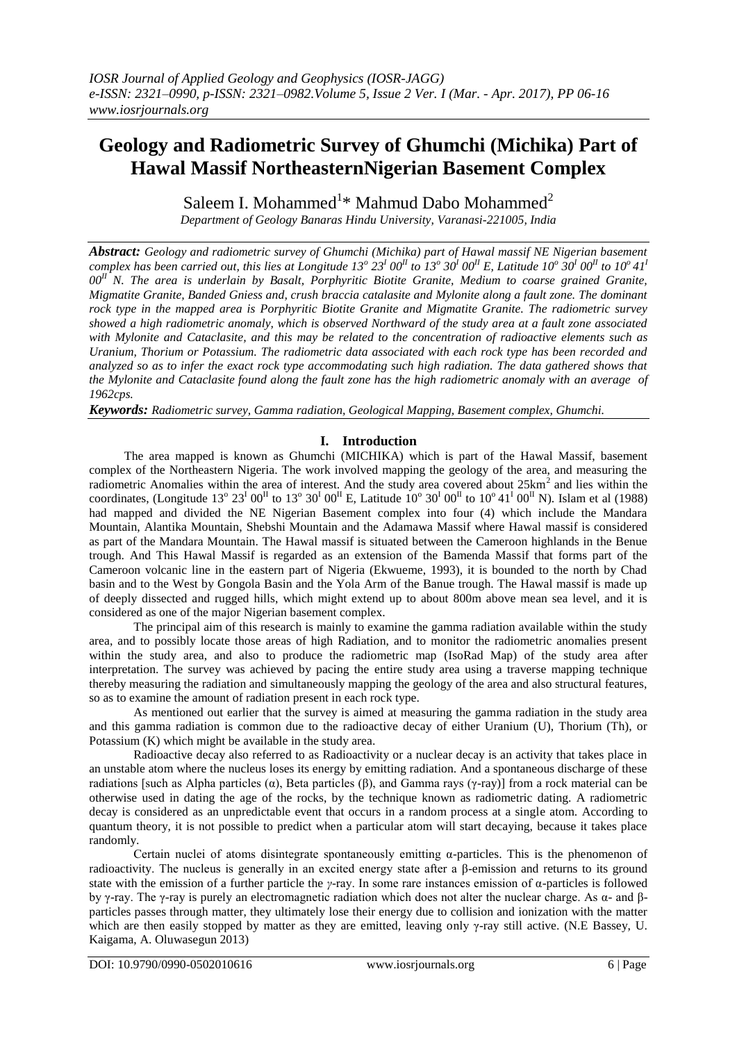# **Geology and Radiometric Survey of Ghumchi (Michika) Part of Hawal Massif NortheasternNigerian Basement Complex**

Saleem I. Mohammed<sup>1\*</sup> Mahmud Dabo Mohammed<sup>2</sup>

*Department of Geology Banaras Hindu University, Varanasi-221005, India*

*Abstract: Geology and radiometric survey of Ghumchi (Michika) part of Hawal massif NE Nigerian basement*  complex has been carried out, this lies at Longitude 13<sup>°</sup> 23<sup>1</sup> 00<sup>II</sup> to 13<sup>°</sup> 30<sup>I</sup> 00<sup>II</sup> E, Latitude 10<sup>°</sup> 30<sup>I</sup> 00<sup>II</sup> to 10<sup>°</sup> 41<sup>i</sup> *00II N. The area is underlain by Basalt, Porphyritic Biotite Granite, Medium to coarse grained Granite, Migmatite Granite, Banded Gniess and, crush braccia catalasite and Mylonite along a fault zone. The dominant rock type in the mapped area is Porphyritic Biotite Granite and Migmatite Granite. The radiometric survey showed a high radiometric anomaly, which is observed Northward of the study area at a fault zone associated with Mylonite and Cataclasite, and this may be related to the concentration of radioactive elements such as Uranium, Thorium or Potassium. The radiometric data associated with each rock type has been recorded and analyzed so as to infer the exact rock type accommodating such high radiation. The data gathered shows that the Mylonite and Cataclasite found along the fault zone has the high radiometric anomaly with an average of 1962cps.*

*Keywords: Radiometric survey, Gamma radiation, Geological Mapping, Basement complex, Ghumchi.*

# **I. Introduction**

The area mapped is known as Ghumchi (MICHIKA) which is part of the Hawal Massif, basement complex of the Northeastern Nigeria. The work involved mapping the geology of the area, and measuring the radiometric Anomalies within the area of interest. And the study area covered about  $25 \text{km}^2$  and lies within the coordinates, (Longitude  $13^{\circ} 23^{\text{I}} 00^{\text{II}}$  to  $13^{\circ} 30^{\text{I}} 00^{\text{II}}$  E, Latitude  $10^{\circ} 30^{\text{I}} 00^{\text{II}}$  to  $10^{\circ} 41^{\text{I}} 00^{\text{II}}$  N). Islam et al (1988) had mapped and divided the NE Nigerian Basement complex into four (4) which include the Mandara Mountain, Alantika Mountain, Shebshi Mountain and the Adamawa Massif where Hawal massif is considered as part of the Mandara Mountain. The Hawal massif is situated between the Cameroon highlands in the Benue trough. And This Hawal Massif is regarded as an extension of the Bamenda Massif that forms part of the Cameroon volcanic line in the eastern part of Nigeria (Ekwueme, 1993), it is bounded to the north by Chad basin and to the West by Gongola Basin and the Yola Arm of the Banue trough. The Hawal massif is made up of deeply dissected and rugged hills, which might extend up to about 800m above mean sea level, and it is considered as one of the major Nigerian basement complex.

The principal aim of this research is mainly to examine the gamma radiation available within the study area, and to possibly locate those areas of high Radiation, and to monitor the radiometric anomalies present within the study area, and also to produce the radiometric map (IsoRad Map) of the study area after interpretation. The survey was achieved by pacing the entire study area using a traverse mapping technique thereby measuring the radiation and simultaneously mapping the geology of the area and also structural features, so as to examine the amount of radiation present in each rock type.

As mentioned out earlier that the survey is aimed at measuring the gamma radiation in the study area and this gamma radiation is common due to the radioactive decay of either Uranium (U), Thorium (Th), or Potassium (K) which might be available in the study area.

Radioactive decay also referred to as Radioactivity or a nuclear decay is an activity that takes place in an unstable atom where the nucleus loses its energy by emitting radiation. And a spontaneous discharge of these radiations [such as Alpha particles (α), Beta particles (β), and Gamma rays (γ-ray)] from a rock material can be otherwise used in dating the age of the rocks, by the technique known as radiometric dating. A radiometric decay is considered as an unpredictable event that occurs in a random process at a single atom. According to quantum theory, it is not possible to predict when a particular atom will start decaying, because it takes place randomly.

Certain nuclei of atoms disintegrate spontaneously emitting α-particles. This is the phenomenon of radioactivity. The nucleus is generally in an excited energy state after a β-emission and returns to its ground state with the emission of a further particle the *γ*-ray. In some rare instances emission of α-particles is followed by γ-ray. The γ-ray is purely an electromagnetic radiation which does not alter the nuclear charge. As α- and βparticles passes through matter, they ultimately lose their energy due to collision and ionization with the matter which are then easily stopped by matter as they are emitted, leaving only γ-ray still active. (N.E Bassey, U. Kaigama, A. Oluwasegun 2013)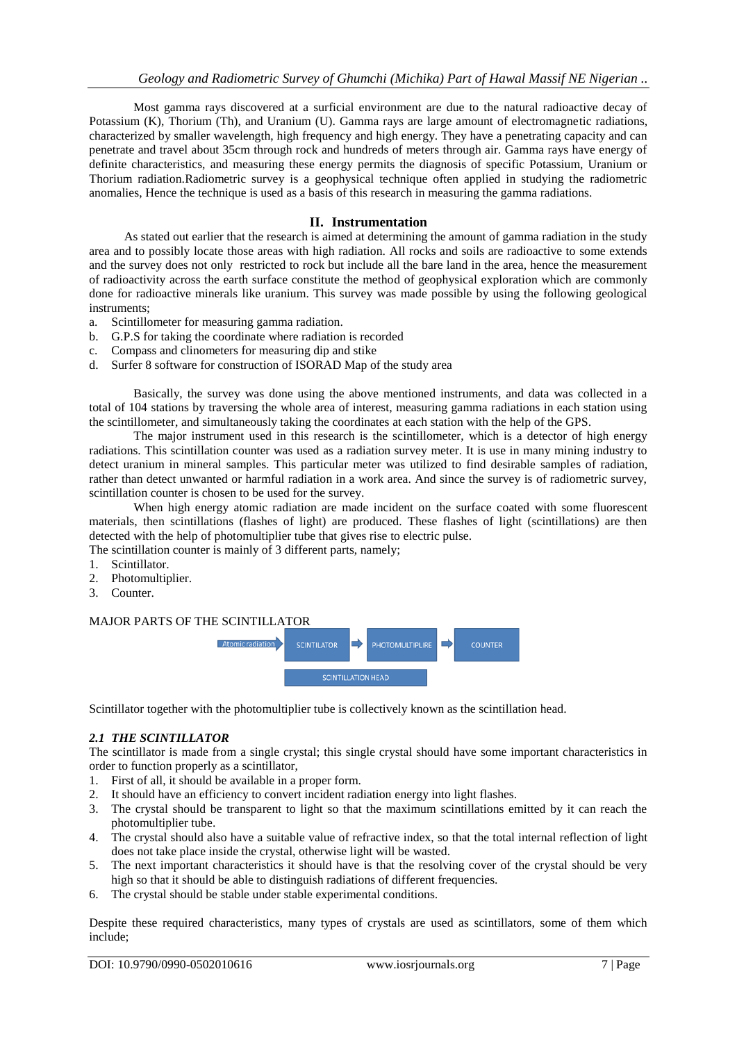Most gamma rays discovered at a surficial environment are due to the natural radioactive decay of Potassium (K), Thorium (Th), and Uranium (U). Gamma rays are large amount of electromagnetic radiations, characterized by smaller wavelength, high frequency and high energy. They have a penetrating capacity and can penetrate and travel about 35cm through rock and hundreds of meters through air. Gamma rays have energy of definite characteristics, and measuring these energy permits the diagnosis of specific Potassium, Uranium or Thorium radiation.Radiometric survey is a geophysical technique often applied in studying the radiometric anomalies, Hence the technique is used as a basis of this research in measuring the gamma radiations.

## **II. Instrumentation**

As stated out earlier that the research is aimed at determining the amount of gamma radiation in the study area and to possibly locate those areas with high radiation. All rocks and soils are radioactive to some extends and the survey does not only restricted to rock but include all the bare land in the area, hence the measurement of radioactivity across the earth surface constitute the method of geophysical exploration which are commonly done for radioactive minerals like uranium. This survey was made possible by using the following geological instruments;

- a. Scintillometer for measuring gamma radiation.
- b. G.P.S for taking the coordinate where radiation is recorded
- c. Compass and clinometers for measuring dip and stike
- d. Surfer 8 software for construction of ISORAD Map of the study area

Basically, the survey was done using the above mentioned instruments, and data was collected in a total of 104 stations by traversing the whole area of interest, measuring gamma radiations in each station using the scintillometer, and simultaneously taking the coordinates at each station with the help of the GPS.

The major instrument used in this research is the scintillometer, which is a detector of high energy radiations. This scintillation counter was used as a radiation survey meter. It is use in many mining industry to detect uranium in mineral samples. This particular meter was utilized to find desirable samples of radiation, rather than detect unwanted or harmful radiation in a work area. And since the survey is of radiometric survey, scintillation counter is chosen to be used for the survey.

When high energy atomic radiation are made incident on the surface coated with some fluorescent materials, then scintillations (flashes of light) are produced. These flashes of light (scintillations) are then detected with the help of photomultiplier tube that gives rise to electric pulse.

The scintillation counter is mainly of 3 different parts, namely;

- 1. Scintillator.
- 2. Photomultiplier.
- 3. Counter.

## MAJOR PARTS OF THE SCINTILLATOR



Scintillator together with the photomultiplier tube is collectively known as the scintillation head.

# *2.1 THE SCINTILLATOR*

The scintillator is made from a single crystal; this single crystal should have some important characteristics in order to function properly as a scintillator,

- 1. First of all, it should be available in a proper form.
- 2. It should have an efficiency to convert incident radiation energy into light flashes.
- 3. The crystal should be transparent to light so that the maximum scintillations emitted by it can reach the photomultiplier tube.
- 4. The crystal should also have a suitable value of refractive index, so that the total internal reflection of light does not take place inside the crystal, otherwise light will be wasted.
- 5. The next important characteristics it should have is that the resolving cover of the crystal should be very high so that it should be able to distinguish radiations of different frequencies.
- 6. The crystal should be stable under stable experimental conditions.

Despite these required characteristics, many types of crystals are used as scintillators, some of them which include;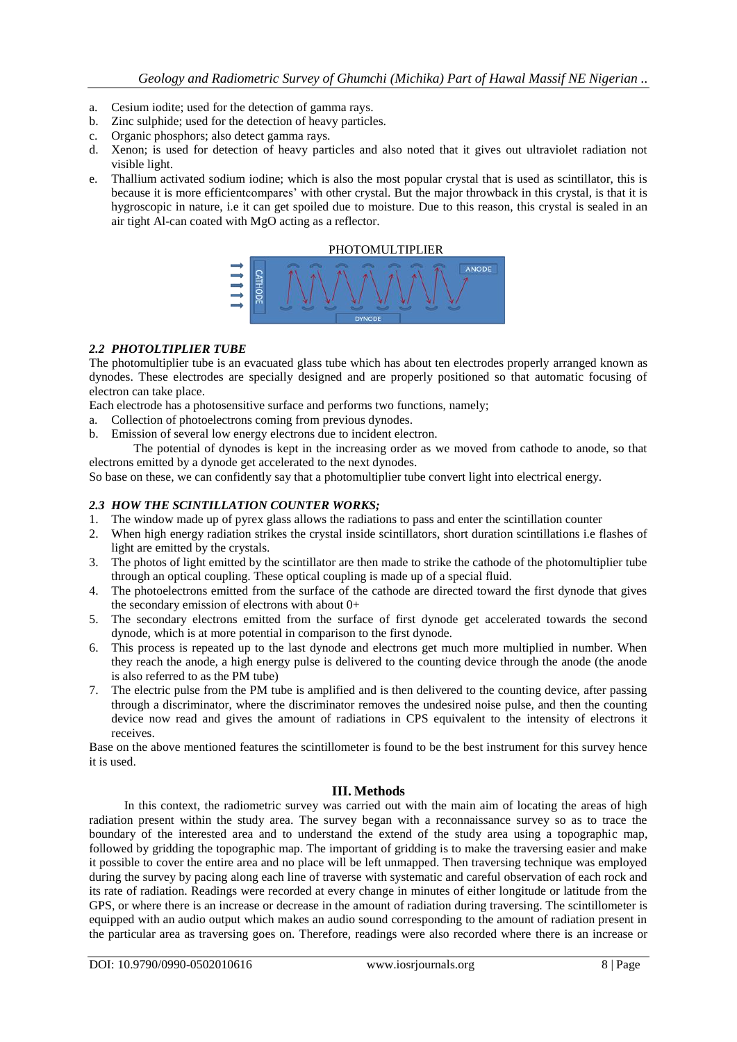- a. Cesium iodite; used for the detection of gamma rays.
- b. Zinc sulphide; used for the detection of heavy particles.
- c. Organic phosphors; also detect gamma rays.
- d. Xenon; is used for detection of heavy particles and also noted that it gives out ultraviolet radiation not visible light.
- e. Thallium activated sodium iodine; which is also the most popular crystal that is used as scintillator, this is because it is more efficientcompares' with other crystal. But the major throwback in this crystal, is that it is hygroscopic in nature, i.e it can get spoiled due to moisture. Due to this reason, this crystal is sealed in an air tight Al-can coated with MgO acting as a reflector.



# *2.2 PHOTOLTIPLIER TUBE*

The photomultiplier tube is an evacuated glass tube which has about ten electrodes properly arranged known as dynodes. These electrodes are specially designed and are properly positioned so that automatic focusing of electron can take place.

Each electrode has a photosensitive surface and performs two functions, namely;

- a. Collection of photoelectrons coming from previous dynodes.
- b. Emission of several low energy electrons due to incident electron.

The potential of dynodes is kept in the increasing order as we moved from cathode to anode, so that electrons emitted by a dynode get accelerated to the next dynodes.

So base on these, we can confidently say that a photomultiplier tube convert light into electrical energy.

# *2.3 HOW THE SCINTILLATION COUNTER WORKS;*

- 1. The window made up of pyrex glass allows the radiations to pass and enter the scintillation counter
- 2. When high energy radiation strikes the crystal inside scintillators, short duration scintillations i.e flashes of light are emitted by the crystals.
- 3. The photos of light emitted by the scintillator are then made to strike the cathode of the photomultiplier tube through an optical coupling. These optical coupling is made up of a special fluid.
- 4. The photoelectrons emitted from the surface of the cathode are directed toward the first dynode that gives the secondary emission of electrons with about  $0+$
- 5. The secondary electrons emitted from the surface of first dynode get accelerated towards the second dynode, which is at more potential in comparison to the first dynode.
- 6. This process is repeated up to the last dynode and electrons get much more multiplied in number. When they reach the anode, a high energy pulse is delivered to the counting device through the anode (the anode is also referred to as the PM tube)
- 7. The electric pulse from the PM tube is amplified and is then delivered to the counting device, after passing through a discriminator, where the discriminator removes the undesired noise pulse, and then the counting device now read and gives the amount of radiations in CPS equivalent to the intensity of electrons it receives.

Base on the above mentioned features the scintillometer is found to be the best instrument for this survey hence it is used.

# **III. Methods**

In this context, the radiometric survey was carried out with the main aim of locating the areas of high radiation present within the study area. The survey began with a reconnaissance survey so as to trace the boundary of the interested area and to understand the extend of the study area using a topographic map, followed by gridding the topographic map. The important of gridding is to make the traversing easier and make it possible to cover the entire area and no place will be left unmapped. Then traversing technique was employed during the survey by pacing along each line of traverse with systematic and careful observation of each rock and its rate of radiation. Readings were recorded at every change in minutes of either longitude or latitude from the GPS, or where there is an increase or decrease in the amount of radiation during traversing. The scintillometer is equipped with an audio output which makes an audio sound corresponding to the amount of radiation present in the particular area as traversing goes on. Therefore, readings were also recorded where there is an increase or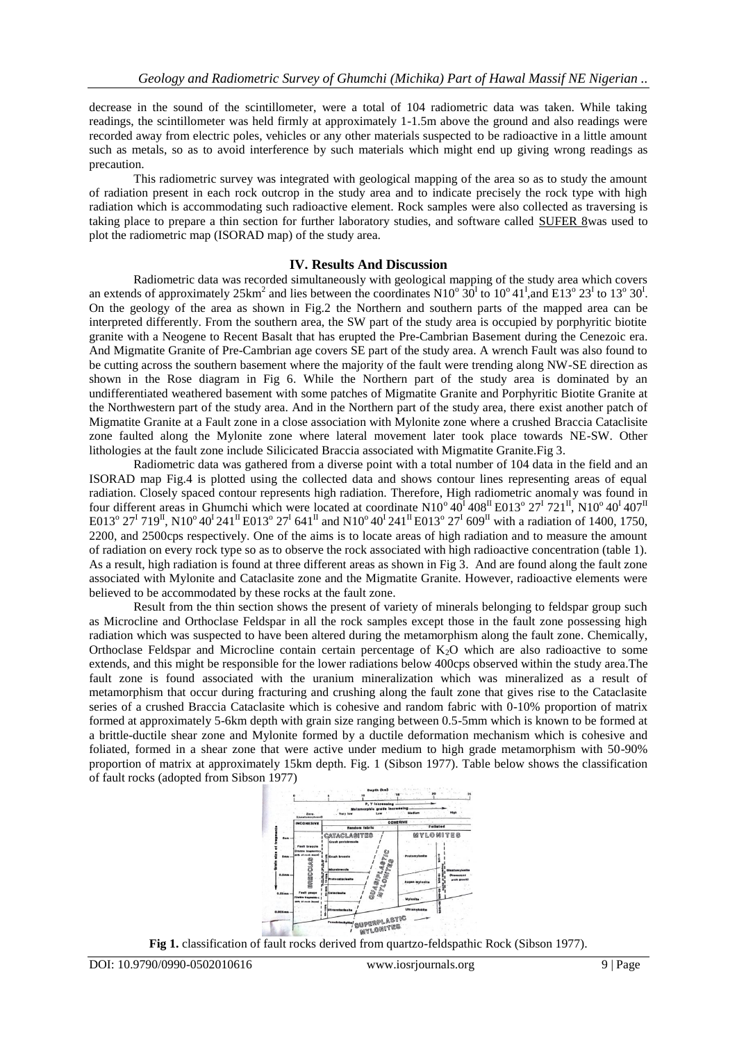decrease in the sound of the scintillometer, were a total of 104 radiometric data was taken. While taking readings, the scintillometer was held firmly at approximately 1-1.5m above the ground and also readings were recorded away from electric poles, vehicles or any other materials suspected to be radioactive in a little amount such as metals, so as to avoid interference by such materials which might end up giving wrong readings as precaution.

This radiometric survey was integrated with geological mapping of the area so as to study the amount of radiation present in each rock outcrop in the study area and to indicate precisely the rock type with high radiation which is accommodating such radioactive element. Rock samples were also collected as traversing is taking place to prepare a thin section for further laboratory studies, and software called SUFER 8was used to plot the radiometric map (ISORAD map) of the study area.

## **IV. Results And Discussion**

Radiometric data was recorded simultaneously with geological mapping of the study area which covers an extends of approximately  $25 \text{km}^2$  and lies between the coordinates N10<sup>o</sup>  $30^1$  to  $10^0 41^1$ , and E13<sup>o</sup>  $23^1$  to  $13^0 30^1$ . On the geology of the area as shown in Fig.2 the Northern and southern parts of the mapped area can be interpreted differently. From the southern area, the SW part of the study area is occupied by porphyritic biotite granite with a Neogene to Recent Basalt that has erupted the Pre-Cambrian Basement during the Cenezoic era. And Migmatite Granite of Pre-Cambrian age covers SE part of the study area. A wrench Fault was also found to be cutting across the southern basement where the majority of the fault were trending along NW-SE direction as shown in the Rose diagram in Fig 6. While the Northern part of the study area is dominated by an undifferentiated weathered basement with some patches of Migmatite Granite and Porphyritic Biotite Granite at the Northwestern part of the study area. And in the Northern part of the study area, there exist another patch of Migmatite Granite at a Fault zone in a close association with Mylonite zone where a crushed Braccia Cataclisite zone faulted along the Mylonite zone where lateral movement later took place towards NE-SW. Other lithologies at the fault zone include Silicicated Braccia associated with Migmatite Granite.Fig 3.

Radiometric data was gathered from a diverse point with a total number of 104 data in the field and an ISORAD map Fig.4 is plotted using the collected data and shows contour lines representing areas of equal radiation. Closely spaced contour represents high radiation. Therefore, High radiometric anomaly was found in four different areas in Ghumchi which were located at coordinate  $N10^{\circ} 40^{\text{I}} 408^{\text{II}}$  E013<sup>o</sup>  $27^{\text{I}} 721^{\text{II}}$ ,  $N10^{\circ} 40^{\text{I}} 407^{\text{II}}$ E013<sup>o</sup> 27<sup>I</sup> 719<sup>II</sup>, N10<sup>o</sup> 40<sup>I</sup> 241<sup>II</sup> E013<sup>o</sup> 27<sup>I</sup> 641<sup>II</sup> and N10<sup>o</sup> 40<sup>I</sup> 241<sup>II</sup> E013<sup>o</sup> 27<sup>I</sup> 609<sup>II</sup> with a radiation of 1400, 1750, 2200, and 2500cps respectively. One of the aims is to locate areas of high radiation and to measure the amount of radiation on every rock type so as to observe the rock associated with high radioactive concentration (table 1). As a result, high radiation is found at three different areas as shown in Fig 3. And are found along the fault zone associated with Mylonite and Cataclasite zone and the Migmatite Granite. However, radioactive elements were believed to be accommodated by these rocks at the fault zone.

Result from the thin section shows the present of variety of minerals belonging to feldspar group such as Microcline and Orthoclase Feldspar in all the rock samples except those in the fault zone possessing high radiation which was suspected to have been altered during the metamorphism along the fault zone. Chemically, Orthoclase Feldspar and Microcline contain certain percentage of  $K<sub>2</sub>O$  which are also radioactive to some extends, and this might be responsible for the lower radiations below 400cps observed within the study area.The fault zone is found associated with the uranium mineralization which was mineralized as a result of metamorphism that occur during fracturing and crushing along the fault zone that gives rise to the Cataclasite series of a crushed Braccia Cataclasite which is cohesive and random fabric with 0-10% proportion of matrix formed at approximately 5-6km depth with grain size ranging between 0.5-5mm which is known to be formed at a brittle-ductile shear zone and Mylonite formed by a ductile deformation mechanism which is cohesive and foliated, formed in a shear zone that were active under medium to high grade metamorphism with 50-90% proportion of matrix at approximately 15km depth. Fig. 1 (Sibson 1977). Table below shows the classification of fault rocks (adopted from Sibson 1977)



**Fig 1.** classification of fault rocks derived from quartzo-feldspathic Rock (Sibson 1977).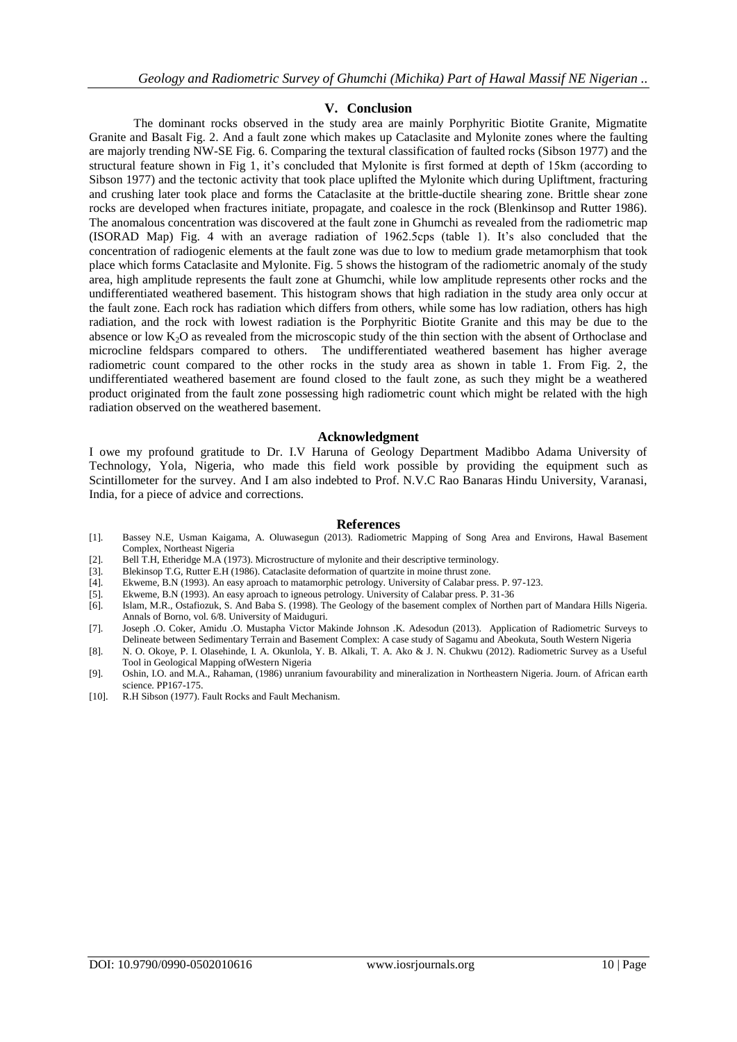## **V. Conclusion**

The dominant rocks observed in the study area are mainly Porphyritic Biotite Granite, Migmatite Granite and Basalt Fig. 2. And a fault zone which makes up Cataclasite and Mylonite zones where the faulting are majorly trending NW-SE Fig. 6. Comparing the textural classification of faulted rocks (Sibson 1977) and the structural feature shown in Fig 1, it's concluded that Mylonite is first formed at depth of 15km (according to Sibson 1977) and the tectonic activity that took place uplifted the Mylonite which during Upliftment, fracturing and crushing later took place and forms the Cataclasite at the brittle-ductile shearing zone. Brittle shear zone rocks are developed when fractures initiate, propagate, and coalesce in the rock (Blenkinsop and Rutter 1986). The anomalous concentration was discovered at the fault zone in Ghumchi as revealed from the radiometric map (ISORAD Map) Fig. 4 with an average radiation of 1962.5cps (table 1). It's also concluded that the concentration of radiogenic elements at the fault zone was due to low to medium grade metamorphism that took place which forms Cataclasite and Mylonite. Fig. 5 shows the histogram of the radiometric anomaly of the study area, high amplitude represents the fault zone at Ghumchi, while low amplitude represents other rocks and the undifferentiated weathered basement. This histogram shows that high radiation in the study area only occur at the fault zone. Each rock has radiation which differs from others, while some has low radiation, others has high radiation, and the rock with lowest radiation is the Porphyritic Biotite Granite and this may be due to the absence or low K2O as revealed from the microscopic study of the thin section with the absent of Orthoclase and microcline feldspars compared to others. The undifferentiated weathered basement has higher average radiometric count compared to the other rocks in the study area as shown in table 1. From Fig. 2, the undifferentiated weathered basement are found closed to the fault zone, as such they might be a weathered product originated from the fault zone possessing high radiometric count which might be related with the high radiation observed on the weathered basement.

#### **Acknowledgment**

I owe my profound gratitude to Dr. I.V Haruna of Geology Department Madibbo Adama University of Technology, Yola, Nigeria, who made this field work possible by providing the equipment such as Scintillometer for the survey. And I am also indebted to Prof. N.V.C Rao Banaras Hindu University, Varanasi, India, for a piece of advice and corrections.

#### **References**

- [1]. Bassey N.E, Usman Kaigama, A. Oluwasegun (2013). Radiometric Mapping of Song Area and Environs, Hawal Basement Complex, Northeast Nigeria
- [2]. Bell T.H, Etheridge M.A (1973). Microstructure of mylonite and their descriptive terminology.
- [3]. Blekinsop T.G, Rutter E.H (1986). Cataclasite deformation of quartzite in moine thrust zone.
- [4]. Ekweme, B.N (1993). An easy aproach to matamorphic petrology. University of Calabar press. P. 97-123.
- [5]. Ekweme, B.N (1993). An easy aproach to igneous petrology. University of Calabar press. P. 31-36
- [6]. Islam, M.R., Ostafiozuk, S. And Baba S. (1998). The Geology of the basement complex of Northen part of Mandara Hills Nigeria. Annals of Borno, vol. 6/8. University of Maiduguri.
- [7]. Joseph .O. Coker, Amidu .O. Mustapha Victor Makinde Johnson .K. Adesodun (2013). Application of Radiometric Surveys to Delineate between Sedimentary Terrain and Basement Complex: A case study of Sagamu and Abeokuta, South Western Nigeria
- [8]. N. O. Okoye, P. I. Olasehinde, I. A. Okunlola, Y. B. Alkali, T. A. Ako & J. N. Chukwu (2012). Radiometric Survey as a Useful Tool in Geological Mapping ofWestern Nigeria
- [9]. Oshin, I.O. and M.A., Rahaman, (1986) unranium favourability and mineralization in Northeastern Nigeria. Journ. of African earth science. PP167-175.
- [10]. R.H Sibson (1977). Fault Rocks and Fault Mechanism.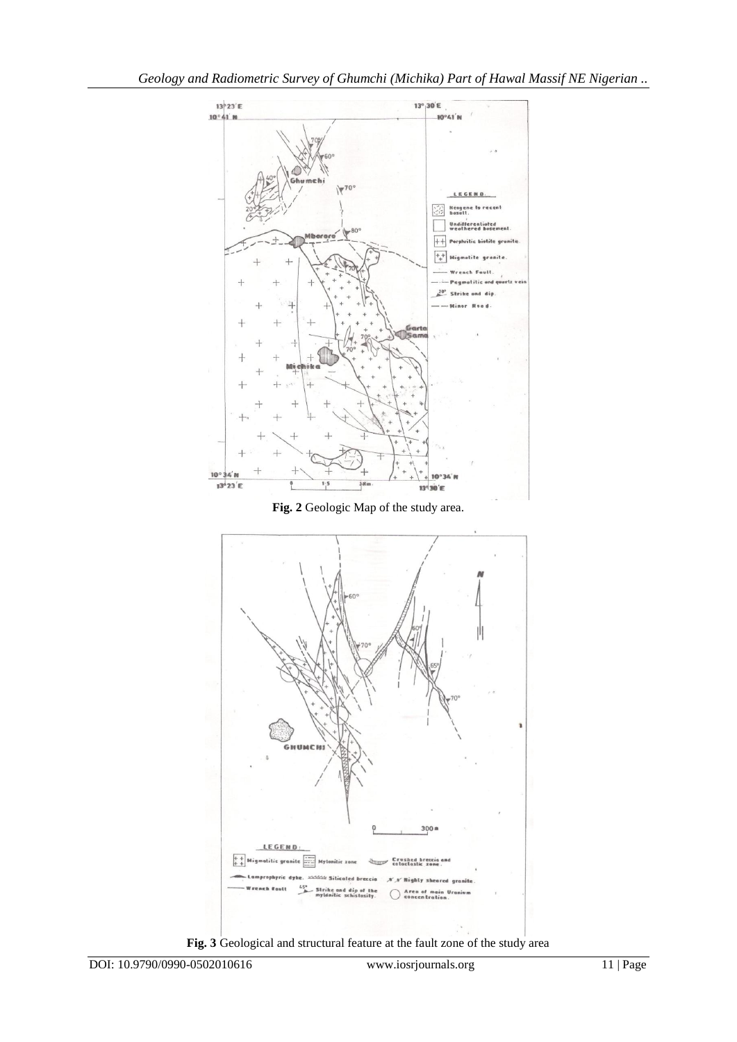

**Fig. 3** Geological and structural feature at the fault zone of the study area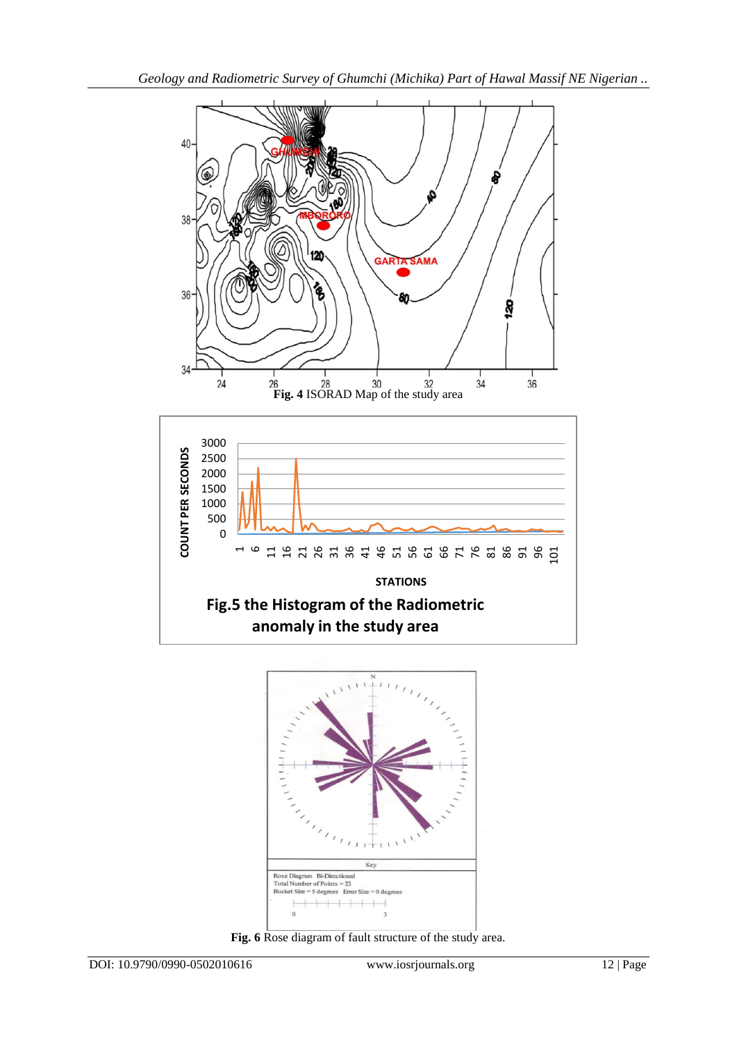



**Fig. 6** Rose diagram of fault structure of the study area.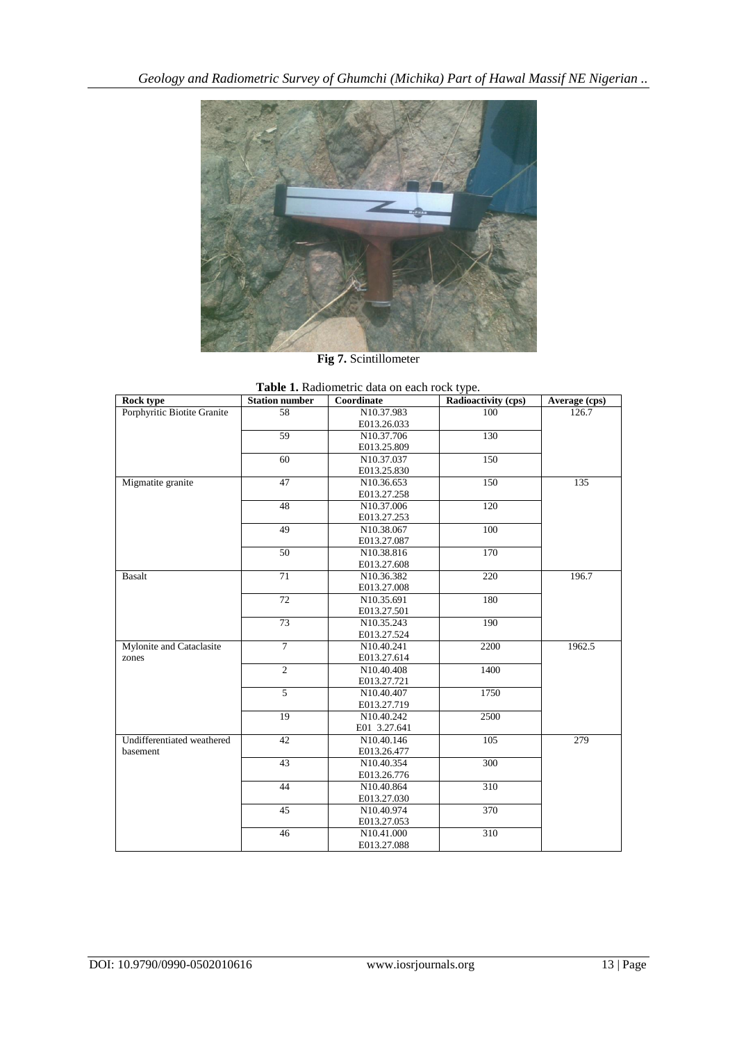

**Fig 7.** Scintillometer

| Table 1. Radiometric data on each rock type. |                       |              |                     |               |
|----------------------------------------------|-----------------------|--------------|---------------------|---------------|
| Rock type                                    | <b>Station number</b> | Coordinate   | Radioactivity (cps) | Average (cps) |
| Porphyritic Biotite Granite                  | 58                    | N10.37.983   | 100                 | 126.7         |
|                                              |                       | E013.26.033  |                     |               |
|                                              | 59                    | N10.37.706   | 130                 |               |
|                                              |                       | E013.25.809  |                     |               |
|                                              | $\overline{60}$       | N10.37.037   | 150                 |               |
|                                              |                       | E013.25.830  |                     |               |
| Migmatite granite                            | 47                    | N10.36.653   | 150                 | 135           |
|                                              |                       | E013.27.258  |                     |               |
|                                              | 48                    | N10.37.006   | 120                 |               |
|                                              |                       | E013.27.253  |                     |               |
|                                              | 49                    | N10.38.067   | 100                 |               |
|                                              |                       | E013.27.087  |                     |               |
|                                              | $\overline{50}$       | N10.38.816   | 170                 |               |
|                                              |                       | E013.27.608  |                     |               |
| <b>Basalt</b>                                | 71                    | N10.36.382   | 220                 | 196.7         |
|                                              |                       | E013.27.008  |                     |               |
|                                              | 72                    | N10.35.691   | 180                 |               |
|                                              |                       | E013.27.501  |                     |               |
|                                              | $\overline{73}$       | N10.35.243   | 190                 |               |
|                                              |                       | E013.27.524  |                     |               |
| Mylonite and Cataclasite                     | $\overline{7}$        | N10.40.241   | 2200                | 1962.5        |
| zones                                        |                       | E013.27.614  |                     |               |
|                                              | $\overline{2}$        | N10.40.408   | 1400                |               |
|                                              |                       | E013.27.721  |                     |               |
|                                              | 5                     | N10.40.407   | 1750                |               |
|                                              |                       | E013.27.719  |                     |               |
|                                              | 19                    | N10.40.242   | 2500                |               |
|                                              |                       | E01 3.27.641 |                     |               |
| Undifferentiated weathered                   | 42                    | N10.40.146   | 105                 | 279           |
| basement                                     |                       | E013.26.477  |                     |               |
|                                              | 43                    | N10.40.354   | 300                 |               |
|                                              |                       | E013.26.776  |                     |               |
|                                              | 44                    | N10.40.864   | $\overline{310}$    |               |
|                                              |                       | E013.27.030  |                     |               |
|                                              | 45                    | N10.40.974   | 370                 |               |
|                                              |                       | E013.27.053  |                     |               |
|                                              | 46                    | N10.41.000   | 310                 |               |
|                                              |                       | E013.27.088  |                     |               |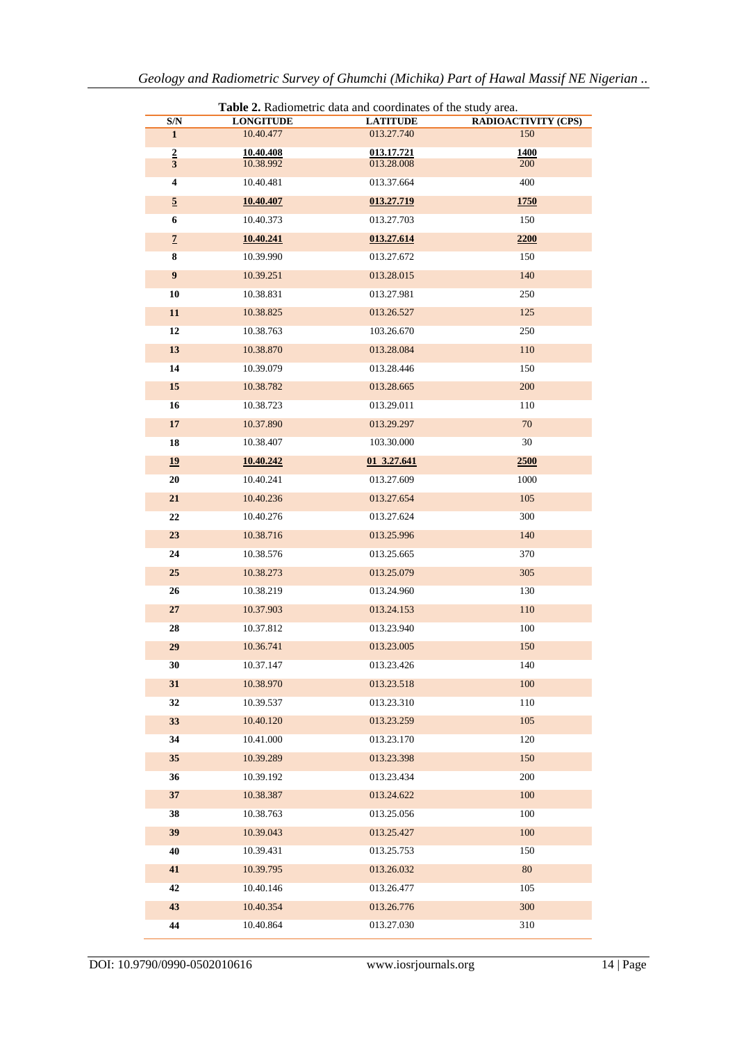| Table 2. Radiometric data and coordinates of the study area. |                        |                          |                            |
|--------------------------------------------------------------|------------------------|--------------------------|----------------------------|
| $\mathbf{S}/\mathbf{N}$                                      | <b>LONGITUDE</b>       | <b>LATITUDE</b>          | <b>RADIOACTIVITY (CPS)</b> |
| $\mathbf{1}$                                                 | 10.40.477              | 013.27.740               | 150                        |
| $\frac{2}{3}$                                                | 10.40.408<br>10.38.992 | 013.17.721<br>013.28.008 | 1400<br>200                |
| 4                                                            | 10.40.481              | 013.37.664               | 400                        |
|                                                              |                        |                          |                            |
| $\overline{\mathbf{5}}$                                      | 10.40.407              | 013.27.719               | <b>1750</b>                |
| 6                                                            | 10.40.373              | 013.27.703               | 150                        |
| $\overline{1}$                                               | 10.40.241              | 013.27.614               | 2200                       |
| 8                                                            | 10.39.990              | 013.27.672               | 150                        |
| 9                                                            | 10.39.251              | 013.28.015               | 140                        |
| 10                                                           | 10.38.831              | 013.27.981               | 250                        |
| 11                                                           | 10.38.825              | 013.26.527               | 125                        |
| 12                                                           | 10.38.763              | 103.26.670               | 250                        |
| 13                                                           | 10.38.870              | 013.28.084               | 110                        |
| 14                                                           | 10.39.079              | 013.28.446               | 150                        |
| 15                                                           | 10.38.782              | 013.28.665               | 200                        |
| 16                                                           | 10.38.723              | 013.29.011               | 110                        |
| 17                                                           | 10.37.890              | 013.29.297               | 70                         |
| 18                                                           | 10.38.407              | 103.30.000               | 30                         |
| 19                                                           | 10.40.242              | 01 3.27.641              | 2500                       |
| 20                                                           | 10.40.241              | 013.27.609               | 1000                       |
| 21                                                           | 10.40.236              | 013.27.654               | 105                        |
| 22                                                           | 10.40.276              | 013.27.624               | 300                        |
| 23                                                           | 10.38.716              | 013.25.996               | 140                        |
| 24                                                           | 10.38.576              | 013.25.665               | 370                        |
| 25                                                           | 10.38.273              | 013.25.079               | 305                        |
| 26                                                           | 10.38.219              | 013.24.960               | 130                        |
| 27                                                           | 10.37.903              | 013.24.153               | 110                        |
| 28                                                           | 10.37.812              | 013.23.940               | 100                        |
| 29                                                           | 10.36.741              | 013.23.005               | 150                        |
| 30                                                           | 10.37.147              | 013.23.426               | 140                        |
| 31                                                           | 10.38.970              | 013.23.518               | 100                        |
| 32                                                           | 10.39.537              | 013.23.310               | 110                        |
| 33                                                           | 10.40.120              | 013.23.259               | 105                        |
| 34                                                           | 10.41.000              | 013.23.170               | 120                        |
| 35                                                           | 10.39.289              | 013.23.398               | 150                        |
|                                                              |                        |                          | 200                        |
| 36                                                           | 10.39.192<br>10.38.387 | 013.23.434               |                            |
| 37                                                           |                        | 013.24.622               | 100                        |
| 38                                                           | 10.38.763              | 013.25.056               | 100                        |
| 39                                                           | 10.39.043              | 013.25.427               | 100                        |
| 40                                                           | 10.39.431              | 013.25.753               | 150                        |
| 41                                                           | 10.39.795              | 013.26.032               | $80\,$                     |
| 42                                                           | 10.40.146              | 013.26.477               | 105                        |
| 43                                                           | 10.40.354              | 013.26.776               | 300                        |
| 44                                                           | 10.40.864              | 013.27.030               | 310                        |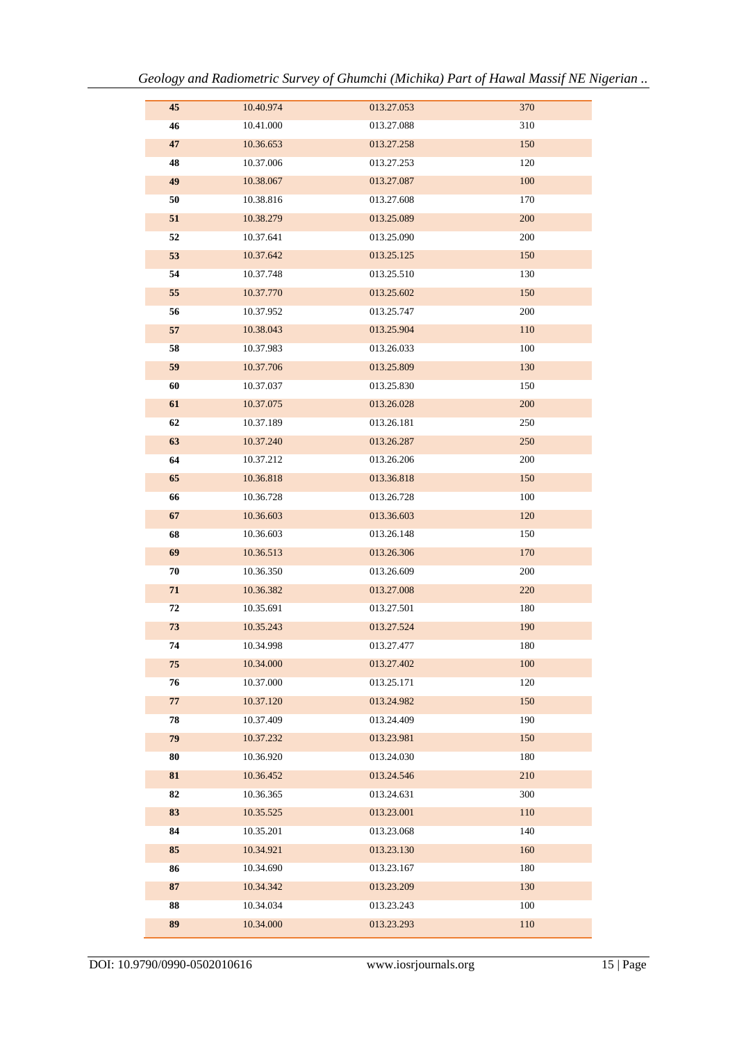| 45         | 10.40.974 | 013.27.053 | 370     |
|------------|-----------|------------|---------|
| 46         | 10.41.000 | 013.27.088 | 310     |
| $\bf 47$   | 10.36.653 | 013.27.258 | 150     |
| 48         | 10.37.006 | 013.27.253 | 120     |
| 49         | 10.38.067 | 013.27.087 | 100     |
| 50         | 10.38.816 | 013.27.608 | 170     |
| 51         | 10.38.279 | 013.25.089 | 200     |
| 52         | 10.37.641 | 013.25.090 | 200     |
| 53         | 10.37.642 | 013.25.125 | 150     |
| 54         | 10.37.748 | 013.25.510 | 130     |
| 55         | 10.37.770 | 013.25.602 | 150     |
| 56         | 10.37.952 | 013.25.747 | 200     |
| 57         | 10.38.043 | 013.25.904 | 110     |
| 58         | 10.37.983 | 013.26.033 | 100     |
| 59         | 10.37.706 | 013.25.809 | 130     |
| 60         | 10.37.037 | 013.25.830 | 150     |
| 61         | 10.37.075 | 013.26.028 | 200     |
| 62         | 10.37.189 | 013.26.181 | 250     |
| 63         | 10.37.240 | 013.26.287 | 250     |
| 64         | 10.37.212 | 013.26.206 | 200     |
| 65         | 10.36.818 | 013.36.818 | 150     |
| 66         | 10.36.728 | 013.26.728 | 100     |
| 67         | 10.36.603 | 013.36.603 | 120     |
| 68         | 10.36.603 | 013.26.148 | 150     |
| 69         | 10.36.513 | 013.26.306 | 170     |
| ${\bf 70}$ | 10.36.350 | 013.26.609 | 200     |
| 71         | 10.36.382 | 013.27.008 | 220     |
| 72         | 10.35.691 | 013.27.501 | 180     |
| 73         | 10.35.243 | 013.27.524 | 190     |
| 74         | 10.34.998 | 013.27.477 | 180     |
| 75         | 10.34.000 | 013.27.402 | 100     |
| 76         | 10.37.000 | 013.25.171 | 120     |
| 77         | 10.37.120 | 013.24.982 | 150     |
| 78         | 10.37.409 | 013.24.409 | 190     |
| 79         | 10.37.232 | 013.23.981 | 150     |
| 80         | 10.36.920 | 013.24.030 | 180     |
| 81         | 10.36.452 | 013.24.546 | 210     |
| 82         | 10.36.365 | 013.24.631 | 300     |
| 83         | 10.35.525 | 013.23.001 | 110     |
| 84         | 10.35.201 | 013.23.068 | 140     |
| 85         | 10.34.921 | 013.23.130 | 160     |
| 86         | 10.34.690 | 013.23.167 | 180     |
| 87         | 10.34.342 | 013.23.209 | 130     |
| 88         | 10.34.034 | 013.23.243 | $100\,$ |
| 89         | 10.34.000 | 013.23.293 | 110     |